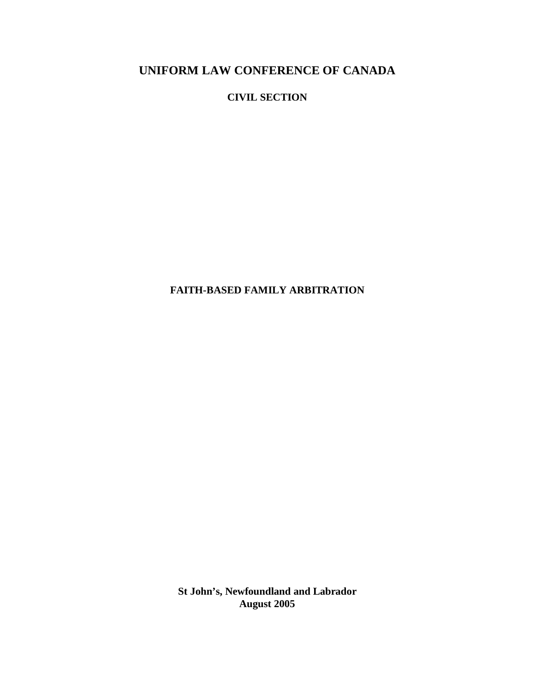**CIVIL SECTION**

**FAITH-BASED FAMILY ARBITRATION**

**St John's, Newfoundland and Labrador August 2005**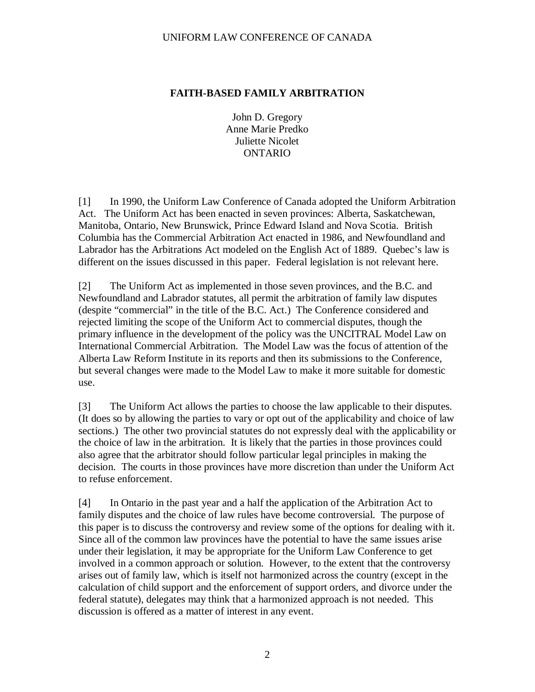#### **FAITH-BASED FAMILY ARBITRATION**

John D. Gregory Anne Marie Predko Juliette Nicolet ONTARIO

[1] In 1990, the Uniform Law Conference of Canada adopted the Uniform Arbitration Act. The Uniform Act has been enacted in seven provinces: Alberta, Saskatchewan, Manitoba, Ontario, New Brunswick, Prince Edward Island and Nova Scotia. British Columbia has the Commercial Arbitration Act enacted in 1986, and Newfoundland and Labrador has the Arbitrations Act modeled on the English Act of 1889. Quebec's law is different on the issues discussed in this paper. Federal legislation is not relevant here.

[2] The Uniform Act as implemented in those seven provinces, and the B.C. and Newfoundland and Labrador statutes, all permit the arbitration of family law disputes (despite "commercial" in the title of the B.C. Act.) The Conference considered and rejected limiting the scope of the Uniform Act to commercial disputes, though the primary influence in the development of the policy was the UNCITRAL Model Law on International Commercial Arbitration. The Model Law was the focus of attention of the Alberta Law Reform Institute in its reports and then its submissions to the Conference, but several changes were made to the Model Law to make it more suitable for domestic use.

[3] The Uniform Act allows the parties to choose the law applicable to their disputes. (It does so by allowing the parties to vary or opt out of the applicability and choice of law sections.) The other two provincial statutes do not expressly deal with the applicability or the choice of law in the arbitration. It is likely that the parties in those provinces could also agree that the arbitrator should follow particular legal principles in making the decision. The courts in those provinces have more discretion than under the Uniform Act to refuse enforcement.

[4] In Ontario in the past year and a half the application of the Arbitration Act to family disputes and the choice of law rules have become controversial. The purpose of this paper is to discuss the controversy and review some of the options for dealing with it. Since all of the common law provinces have the potential to have the same issues arise under their legislation, it may be appropriate for the Uniform Law Conference to get involved in a common approach or solution. However, to the extent that the controversy arises out of family law, which is itself not harmonized across the country (except in the calculation of child support and the enforcement of support orders, and divorce under the federal statute), delegates may think that a harmonized approach is not needed. This discussion is offered as a matter of interest in any event.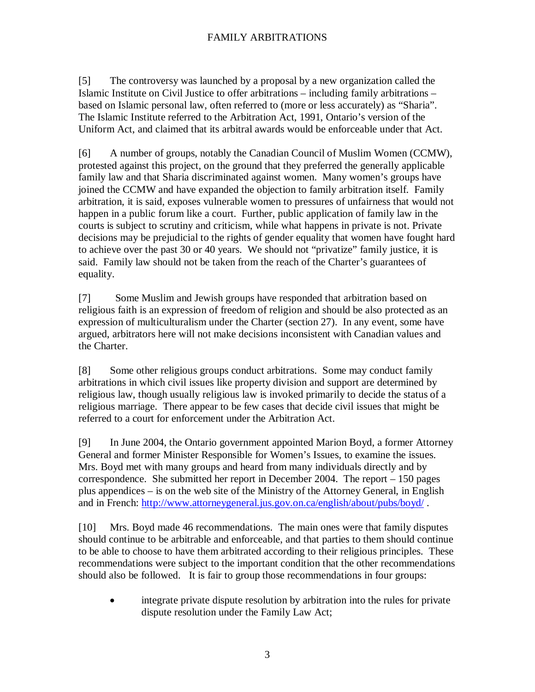[5] The controversy was launched by a proposal by a new organization called the Islamic Institute on Civil Justice to offer arbitrations – including family arbitrations – based on Islamic personal law, often referred to (more or less accurately) as "Sharia". The Islamic Institute referred to the Arbitration Act, 1991, Ontario's version of the Uniform Act, and claimed that its arbitral awards would be enforceable under that Act.

[6] A number of groups, notably the Canadian Council of Muslim Women (CCMW), protested against this project, on the ground that they preferred the generally applicable family law and that Sharia discriminated against women. Many women's groups have joined the CCMW and have expanded the objection to family arbitration itself. Family arbitration, it is said, exposes vulnerable women to pressures of unfairness that would not happen in a public forum like a court. Further, public application of family law in the courts is subject to scrutiny and criticism, while what happens in private is not. Private decisions may be prejudicial to the rights of gender equality that women have fought hard to achieve over the past 30 or 40 years. We should not "privatize" family justice, it is said. Family law should not be taken from the reach of the Charter's guarantees of equality.

[7] Some Muslim and Jewish groups have responded that arbitration based on religious faith is an expression of freedom of religion and should be also protected as an expression of multiculturalism under the Charter (section 27). In any event, some have argued, arbitrators here will not make decisions inconsistent with Canadian values and the Charter.

[8] Some other religious groups conduct arbitrations. Some may conduct family arbitrations in which civil issues like property division and support are determined by religious law, though usually religious law is invoked primarily to decide the status of a religious marriage. There appear to be few cases that decide civil issues that might be referred to a court for enforcement under the Arbitration Act.

[9] In June 2004, the Ontario government appointed Marion Boyd, a former Attorney General and former Minister Responsible for Women's Issues, to examine the issues. Mrs. Boyd met with many groups and heard from many individuals directly and by correspondence. She submitted her report in December 2004. The report – 150 pages plus appendices – is on the web site of the Ministry of the Attorney General, in English and in French: http://www.attorneygeneral.jus.gov.on.ca/english/about/pubs/boyd/.

[10] Mrs. Boyd made 46 recommendations. The main ones were that family disputes should continue to be arbitrable and enforceable, and that parties to them should continue to be able to choose to have them arbitrated according to their religious principles. These recommendations were subject to the important condition that the other recommendations should also be followed. It is fair to group those recommendations in four groups:

• integrate private dispute resolution by arbitration into the rules for private dispute resolution under the Family Law Act;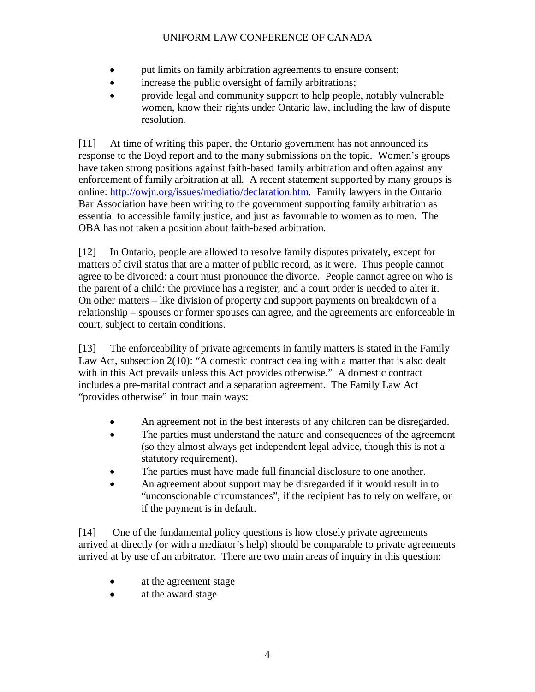- put limits on family arbitration agreements to ensure consent;
- increase the public oversight of family arbitrations;
- provide legal and community support to help people, notably vulnerable women, know their rights under Ontario law, including the law of dispute resolution.

[11] At time of writing this paper, the Ontario government has not announced its response to the Boyd report and to the many submissions on the topic. Women's groups have taken strong positions against faith-based family arbitration and often against any enforcement of family arbitration at all. A recent statement supported by many groups is online: http://owjn.org/issues/mediatio/declaration.htm. Family lawyers in the Ontario Bar Association have been writing to the government supporting family arbitration as essential to accessible family justice, and just as favourable to women as to men. The OBA has not taken a position about faith-based arbitration.

[12] In Ontario, people are allowed to resolve family disputes privately, except for matters of civil status that are a matter of public record, as it were. Thus people cannot agree to be divorced: a court must pronounce the divorce. People cannot agree on who is the parent of a child: the province has a register, and a court order is needed to alter it. On other matters – like division of property and support payments on breakdown of a relationship – spouses or former spouses can agree, and the agreements are enforceable in court, subject to certain conditions.

[13] The enforceability of private agreements in family matters is stated in the Family Law Act, subsection 2(10): "A domestic contract dealing with a matter that is also dealt with in this Act prevails unless this Act provides otherwise." A domestic contract includes a pre-marital contract and a separation agreement. The Family Law Act "provides otherwise" in four main ways:

- An agreement not in the best interests of any children can be disregarded.
- The parties must understand the nature and consequences of the agreement (so they almost always get independent legal advice, though this is not a statutory requirement).
- The parties must have made full financial disclosure to one another.
- An agreement about support may be disregarded if it would result in to "unconscionable circumstances", if the recipient has to rely on welfare, or if the payment is in default.

[14] One of the fundamental policy questions is how closely private agreements arrived at directly (or with a mediator's help) should be comparable to private agreements arrived at by use of an arbitrator. There are two main areas of inquiry in this question:

- at the agreement stage
- at the award stage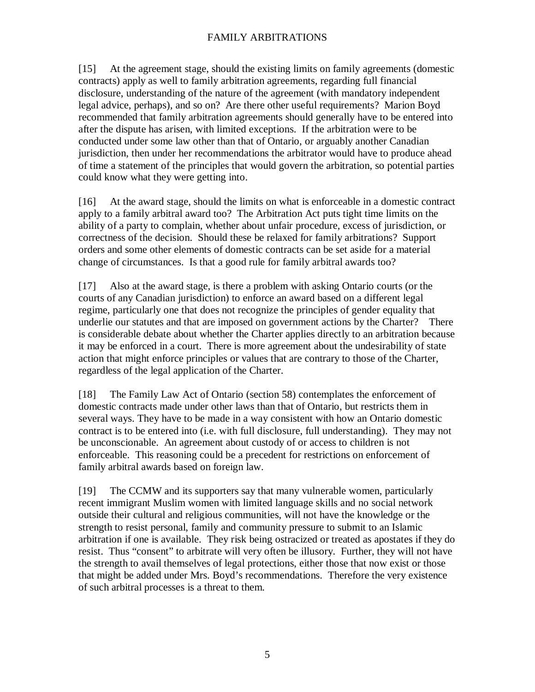### FAMILY ARBITRATIONS

[15] At the agreement stage, should the existing limits on family agreements (domestic contracts) apply as well to family arbitration agreements, regarding full financial disclosure, understanding of the nature of the agreement (with mandatory independent legal advice, perhaps), and so on? Are there other useful requirements? Marion Boyd recommended that family arbitration agreements should generally have to be entered into after the dispute has arisen, with limited exceptions. If the arbitration were to be conducted under some law other than that of Ontario, or arguably another Canadian jurisdiction, then under her recommendations the arbitrator would have to produce ahead of time a statement of the principles that would govern the arbitration, so potential parties could know what they were getting into.

[16] At the award stage, should the limits on what is enforceable in a domestic contract apply to a family arbitral award too? The Arbitration Act puts tight time limits on the ability of a party to complain, whether about unfair procedure, excess of jurisdiction, or correctness of the decision. Should these be relaxed for family arbitrations? Support orders and some other elements of domestic contracts can be set aside for a material change of circumstances. Is that a good rule for family arbitral awards too?

[17] Also at the award stage, is there a problem with asking Ontario courts (or the courts of any Canadian jurisdiction) to enforce an award based on a different legal regime, particularly one that does not recognize the principles of gender equality that underlie our statutes and that are imposed on government actions by the Charter? There is considerable debate about whether the Charter applies directly to an arbitration because it may be enforced in a court. There is more agreement about the undesirability of state action that might enforce principles or values that are contrary to those of the Charter, regardless of the legal application of the Charter.

[18] The Family Law Act of Ontario (section 58) contemplates the enforcement of domestic contracts made under other laws than that of Ontario, but restricts them in several ways. They have to be made in a way consistent with how an Ontario domestic contract is to be entered into (i.e. with full disclosure, full understanding). They may not be unconscionable. An agreement about custody of or access to children is not enforceable. This reasoning could be a precedent for restrictions on enforcement of family arbitral awards based on foreign law.

[19] The CCMW and its supporters say that many vulnerable women, particularly recent immigrant Muslim women with limited language skills and no social network outside their cultural and religious communities, will not have the knowledge or the strength to resist personal, family and community pressure to submit to an Islamic arbitration if one is available. They risk being ostracized or treated as apostates if they do resist. Thus "consent" to arbitrate will very often be illusory. Further, they will not have the strength to avail themselves of legal protections, either those that now exist or those that might be added under Mrs. Boyd's recommendations. Therefore the very existence of such arbitral processes is a threat to them.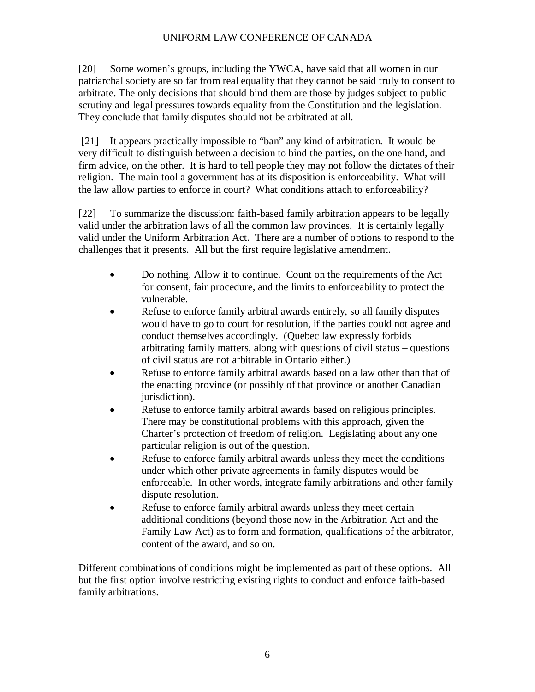[20] Some women's groups, including the YWCA, have said that all women in our patriarchal society are so far from real equality that they cannot be said truly to consent to arbitrate. The only decisions that should bind them are those by judges subject to public scrutiny and legal pressures towards equality from the Constitution and the legislation. They conclude that family disputes should not be arbitrated at all.

[21] It appears practically impossible to "ban" any kind of arbitration. It would be very difficult to distinguish between a decision to bind the parties, on the one hand, and firm advice, on the other. It is hard to tell people they may not follow the dictates of their religion. The main tool a government has at its disposition is enforceability. What will the law allow parties to enforce in court? What conditions attach to enforceability?

[22] To summarize the discussion: faith-based family arbitration appears to be legally valid under the arbitration laws of all the common law provinces. It is certainly legally valid under the Uniform Arbitration Act. There are a number of options to respond to the challenges that it presents. All but the first require legislative amendment.

- Do nothing. Allow it to continue. Count on the requirements of the Act for consent, fair procedure, and the limits to enforceability to protect the vulnerable.
- Refuse to enforce family arbitral awards entirely, so all family disputes would have to go to court for resolution, if the parties could not agree and conduct themselves accordingly. (Quebec law expressly forbids arbitrating family matters, along with questions of civil status – questions of civil status are not arbitrable in Ontario either.)
- Refuse to enforce family arbitral awards based on a law other than that of the enacting province (or possibly of that province or another Canadian jurisdiction).
- Refuse to enforce family arbitral awards based on religious principles. There may be constitutional problems with this approach, given the Charter's protection of freedom of religion. Legislating about any one particular religion is out of the question.
- Refuse to enforce family arbitral awards unless they meet the conditions under which other private agreements in family disputes would be enforceable. In other words, integrate family arbitrations and other family dispute resolution.
- Refuse to enforce family arbitral awards unless they meet certain additional conditions (beyond those now in the Arbitration Act and the Family Law Act) as to form and formation, qualifications of the arbitrator, content of the award, and so on.

Different combinations of conditions might be implemented as part of these options. All but the first option involve restricting existing rights to conduct and enforce faith-based family arbitrations.